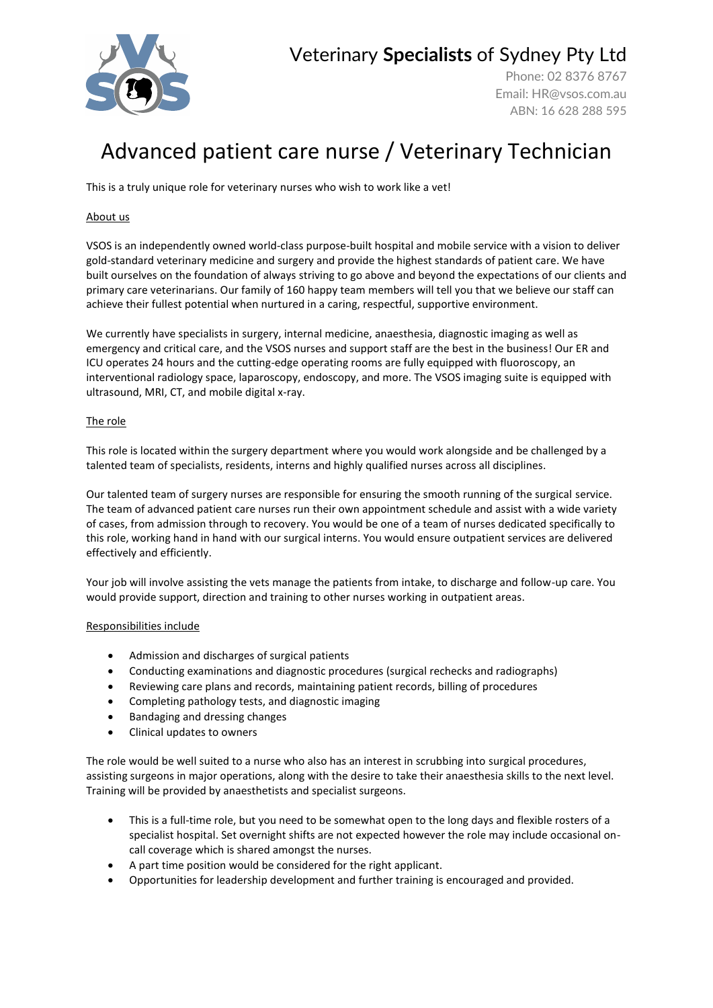

## Veterinary **Specialists** of Sydney Pty Ltd

Phone: 02 8376 8767 Email: [HR@vsos.com.au](mailto:HR@vsos.com.au) ABN: 16 628 288 595

# Advanced patient care nurse / Veterinary Technician

This is a truly unique role for veterinary nurses who wish to work like a vet!

### About us

VSOS is an independently owned world-class purpose-built hospital and mobile service with a vision to deliver gold-standard veterinary medicine and surgery and provide the highest standards of patient care. We have built ourselves on the foundation of always striving to go above and beyond the expectations of our clients and primary care veterinarians. Our family of 160 happy team members will tell you that we believe our staff can achieve their fullest potential when nurtured in a caring, respectful, supportive environment.

We currently have specialists in surgery, internal medicine, anaesthesia, diagnostic imaging as well as emergency and critical care, and the VSOS nurses and support staff are the best in the business! Our ER and ICU operates 24 hours and the cutting-edge operating rooms are fully equipped with fluoroscopy, an interventional radiology space, laparoscopy, endoscopy, and more. The VSOS imaging suite is equipped with ultrasound, MRI, CT, and mobile digital x-ray.

### The role

This role is located within the surgery department where you would work alongside and be challenged by a talented team of specialists, residents, interns and highly qualified nurses across all disciplines.

Our talented team of surgery nurses are responsible for ensuring the smooth running of the surgical service. The team of advanced patient care nurses run their own appointment schedule and assist with a wide variety of cases, from admission through to recovery. You would be one of a team of nurses dedicated specifically to this role, working hand in hand with our surgical interns. You would ensure outpatient services are delivered effectively and efficiently.

Your job will involve assisting the vets manage the patients from intake, to discharge and follow-up care. You would provide support, direction and training to other nurses working in outpatient areas.

#### Responsibilities include

- Admission and discharges of surgical patients
- Conducting examinations and diagnostic procedures (surgical rechecks and radiographs)
- Reviewing care plans and records, maintaining patient records, billing of procedures
- Completing pathology tests, and diagnostic imaging
- Bandaging and dressing changes
- Clinical updates to owners

The role would be well suited to a nurse who also has an interest in scrubbing into surgical procedures, assisting surgeons in major operations, along with the desire to take their anaesthesia skills to the next level. Training will be provided by anaesthetists and specialist surgeons.

- This is a full-time role, but you need to be somewhat open to the long days and flexible rosters of a specialist hospital. Set overnight shifts are not expected however the role may include occasional oncall coverage which is shared amongst the nurses.
- A part time position would be considered for the right applicant.
- Opportunities for leadership development and further training is encouraged and provided.